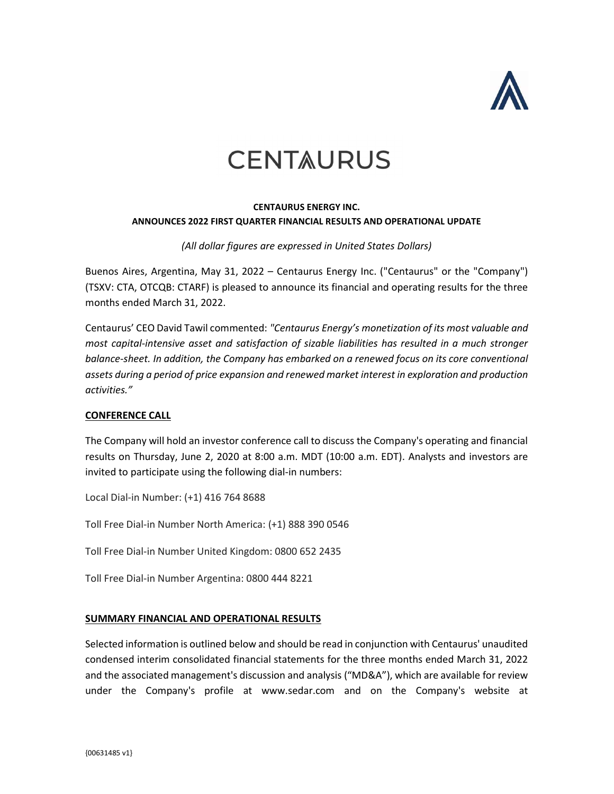

# **CENTAURUS**

## CENTAURUS ENERGY INC. ANNOUNCES 2022 FIRST QUARTER FINANCIAL RESULTS AND OPERATIONAL UPDATE

(All dollar figures are expressed in United States Dollars)

Buenos Aires, Argentina, May 31, 2022 – Centaurus Energy Inc. ("Centaurus" or the "Company") (TSXV: CTA, OTCQB: CTARF) is pleased to announce its financial and operating results for the three months ended March 31, 2022.

Centaurus' CEO David Tawil commented: "Centaurus Energy's monetization of its most valuable and most capital-intensive asset and satisfaction of sizable liabilities has resulted in a much stronger balance-sheet. In addition, the Company has embarked on a renewed focus on its core conventional assets during a period of price expansion and renewed market interest in exploration and production activities."

# CONFERENCE CALL

The Company will hold an investor conference call to discuss the Company's operating and financial results on Thursday, June 2, 2020 at 8:00 a.m. MDT (10:00 a.m. EDT). Analysts and investors are invited to participate using the following dial-in numbers:

Local Dial-in Number: (+1) 416 764 8688

Toll Free Dial-in Number North America: (+1) 888 390 0546

Toll Free Dial-in Number United Kingdom: 0800 652 2435

Toll Free Dial-in Number Argentina: 0800 444 8221

# SUMMARY FINANCIAL AND OPERATIONAL RESULTS

Selected information is outlined below and should be read in conjunction with Centaurus' unaudited condensed interim consolidated financial statements for the three months ended March 31, 2022 and the associated management's discussion and analysis ("MD&A"), which are available for review under the Company's profile at www.sedar.com and on the Company's website at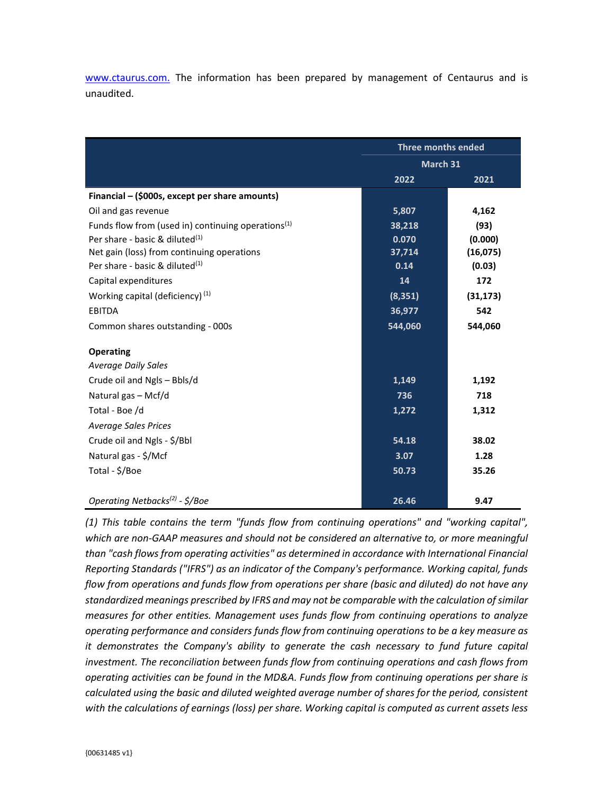www.ctaurus.com. The information has been prepared by management of Centaurus and is unaudited.

|                                                       | <b>Three months ended</b> |           |
|-------------------------------------------------------|---------------------------|-----------|
|                                                       | March 31                  |           |
|                                                       | 2022                      | 2021      |
| Financial – (\$000s, except per share amounts)        |                           |           |
| Oil and gas revenue                                   | 5,807                     | 4,162     |
| Funds flow from (used in) continuing operations $(1)$ | 38,218                    | (93)      |
| Per share - basic & diluted <sup>(1)</sup>            | 0.070                     | (0.000)   |
| Net gain (loss) from continuing operations            | 37,714                    | (16,075)  |
| Per share - basic & diluted <sup>(1)</sup>            | 0.14                      | (0.03)    |
| Capital expenditures                                  | 14                        | 172       |
| Working capital (deficiency) $(1)$                    | (8, 351)                  | (31, 173) |
| <b>EBITDA</b>                                         | 36,977                    | 542       |
| Common shares outstanding - 000s                      | 544,060                   | 544,060   |
| <b>Operating</b>                                      |                           |           |
| <b>Average Daily Sales</b>                            |                           |           |
| Crude oil and Ngls - Bbls/d                           | 1,149                     | 1,192     |
| Natural gas - Mcf/d                                   | 736                       | 718       |
| Total - Boe /d                                        | 1,272                     | 1,312     |
| <b>Average Sales Prices</b>                           |                           |           |
| Crude oil and Ngls - \$/Bbl                           | 54.18                     | 38.02     |
| Natural gas - \$/Mcf                                  | 3.07                      | 1.28      |
| Total - \$/Boe                                        | 50.73                     | 35.26     |
|                                                       |                           |           |
| Operating Netbacks <sup>(2)</sup> - \$/Boe            | 26.46                     | 9.47      |

(1) This table contains the term "funds flow from continuing operations" and "working capital", which are non-GAAP measures and should not be considered an alternative to, or more meaningful than "cash flows from operating activities" as determined in accordance with International Financial Reporting Standards ("IFRS") as an indicator of the Company's performance. Working capital, funds flow from operations and funds flow from operations per share (basic and diluted) do not have any standardized meanings prescribed by IFRS and may not be comparable with the calculation of similar measures for other entities. Management uses funds flow from continuing operations to analyze operating performance and considers funds flow from continuing operations to be a key measure as it demonstrates the Company's ability to generate the cash necessary to fund future capital investment. The reconciliation between funds flow from continuing operations and cash flows from operating activities can be found in the MD&A. Funds flow from continuing operations per share is calculated using the basic and diluted weighted average number of shares for the period, consistent with the calculations of earnings (loss) per share. Working capital is computed as current assets less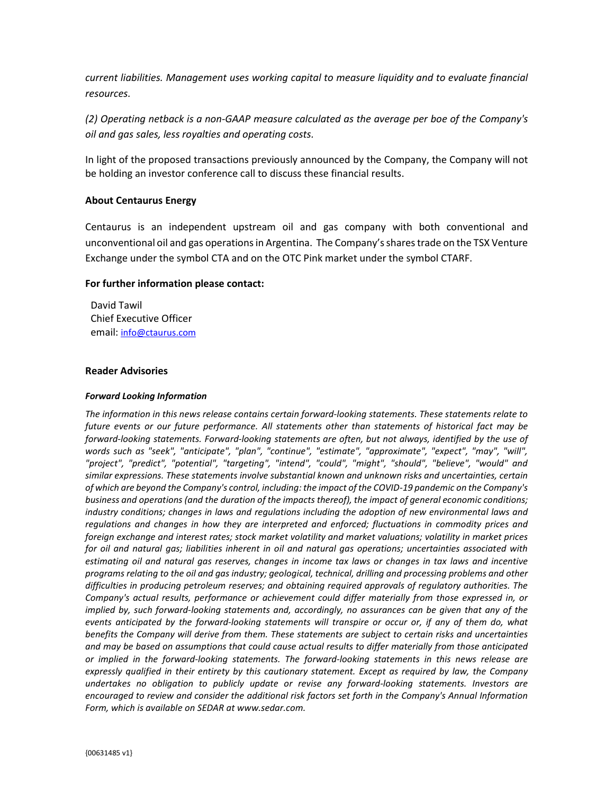current liabilities. Management uses working capital to measure liquidity and to evaluate financial resources.

(2) Operating netback is a non-GAAP measure calculated as the average per boe of the Company's oil and gas sales, less royalties and operating costs.

In light of the proposed transactions previously announced by the Company, the Company will not be holding an investor conference call to discuss these financial results.

## About Centaurus Energy

Centaurus is an independent upstream oil and gas company with both conventional and unconventional oil and gas operations in Argentina. The Company's shares trade on the TSX Venture Exchange under the symbol CTA and on the OTC Pink market under the symbol CTARF.

## For further information please contact:

David Tawil Chief Executive Officer email: info@ctaurus.com

### Reader Advisories

#### Forward Looking Information

The information in this news release contains certain forward-looking statements. These statements relate to future events or our future performance. All statements other than statements of historical fact may be forward-looking statements. Forward-looking statements are often, but not always, identified by the use of words such as "seek", "anticipate", "plan", "continue", "estimate", "approximate", "expect", "may", "will", "project", "predict", "potential", "targeting", "intend", "could", "might", "should", "believe", "would" and similar expressions. These statements involve substantial known and unknown risks and uncertainties, certain of which are beyond the Company's control, including: the impact of the COVID-19 pandemic on the Company's business and operations (and the duration of the impacts thereof), the impact of general economic conditions; industry conditions; changes in laws and regulations including the adoption of new environmental laws and regulations and changes in how they are interpreted and enforced; fluctuations in commodity prices and foreign exchange and interest rates; stock market volatility and market valuations; volatility in market prices for oil and natural gas; liabilities inherent in oil and natural gas operations; uncertainties associated with estimating oil and natural gas reserves, changes in income tax laws or changes in tax laws and incentive programs relating to the oil and gas industry; geological, technical, drilling and processing problems and other difficulties in producing petroleum reserves; and obtaining required approvals of regulatory authorities. The Company's actual results, performance or achievement could differ materially from those expressed in, or implied by, such forward-looking statements and, accordingly, no assurances can be given that any of the events anticipated by the forward-looking statements will transpire or occur or, if any of them do, what benefits the Company will derive from them. These statements are subject to certain risks and uncertainties and may be based on assumptions that could cause actual results to differ materially from those anticipated or implied in the forward-looking statements. The forward-looking statements in this news release are expressly qualified in their entirety by this cautionary statement. Except as required by law, the Company undertakes no obligation to publicly update or revise any forward-looking statements. Investors are encouraged to review and consider the additional risk factors set forth in the Company's Annual Information Form, which is available on SEDAR at www.sedar.com.